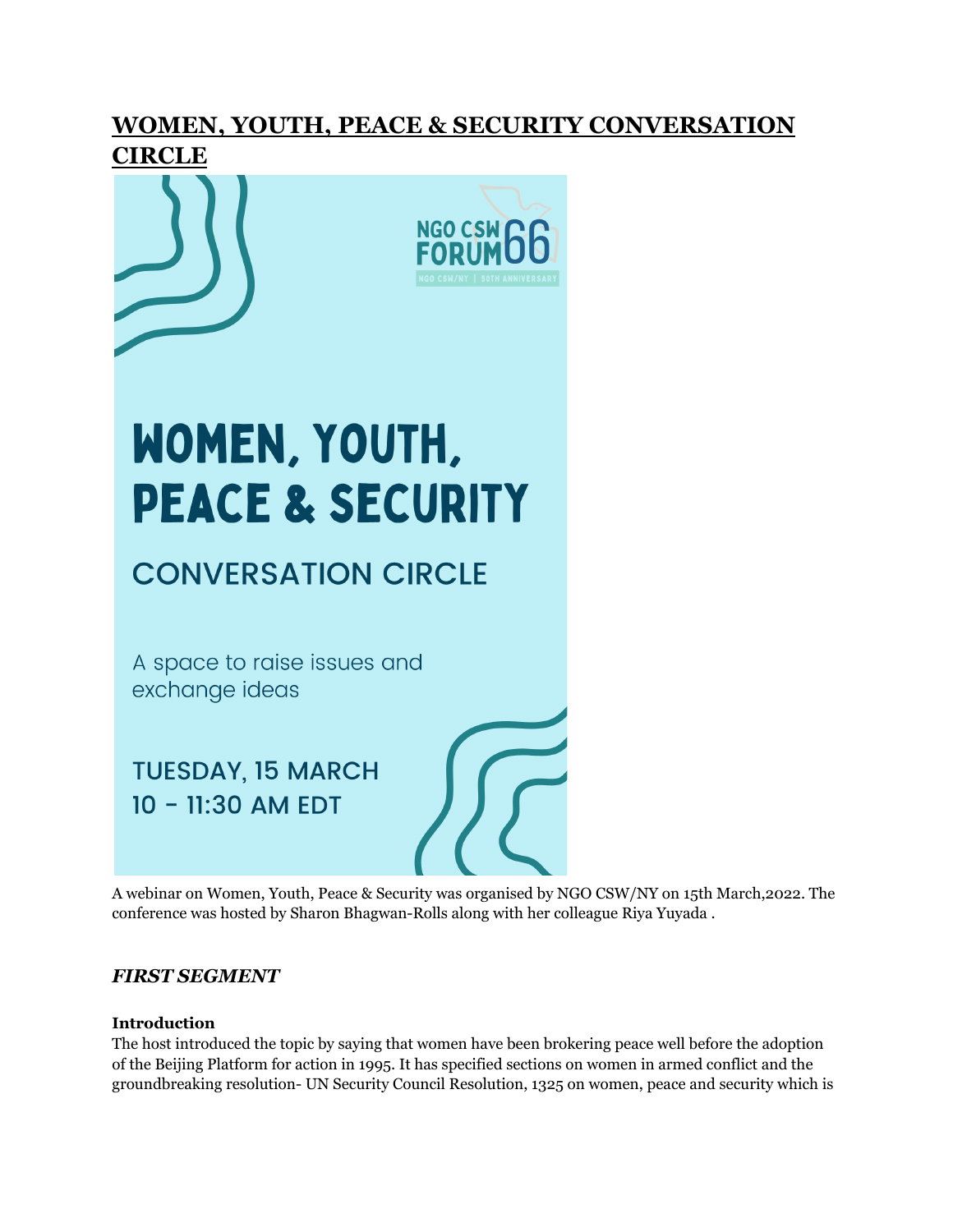# **WOMEN, YOUTH, PEACE & SECURITY CONVERSATION CIRCLE**





# WOMEN, YOUTH, **PEACE & SECURITY**

# **CONVERSATION CIRCLE**

A space to raise issues and exchange ideas

**TUESDAY, 15 MARCH** 10 - 11:30 AM EDT

A webinar on Women, Youth, Peace & Security was organised by NGO CSW/NY on 15th March,2022. The conference was hosted by Sharon Bhagwan-Rolls along with her colleague Riya Yuyada .

# *FIRST SEGMENT*

#### **Introduction**

The host introduced the topic by saying that women have been brokering peace well before the adoption of the Beijing Platform for action in 1995. It has specified sections on women in armed conflict and the groundbreaking resolution- UN Security Council Resolution, 1325 on women, peace and security which is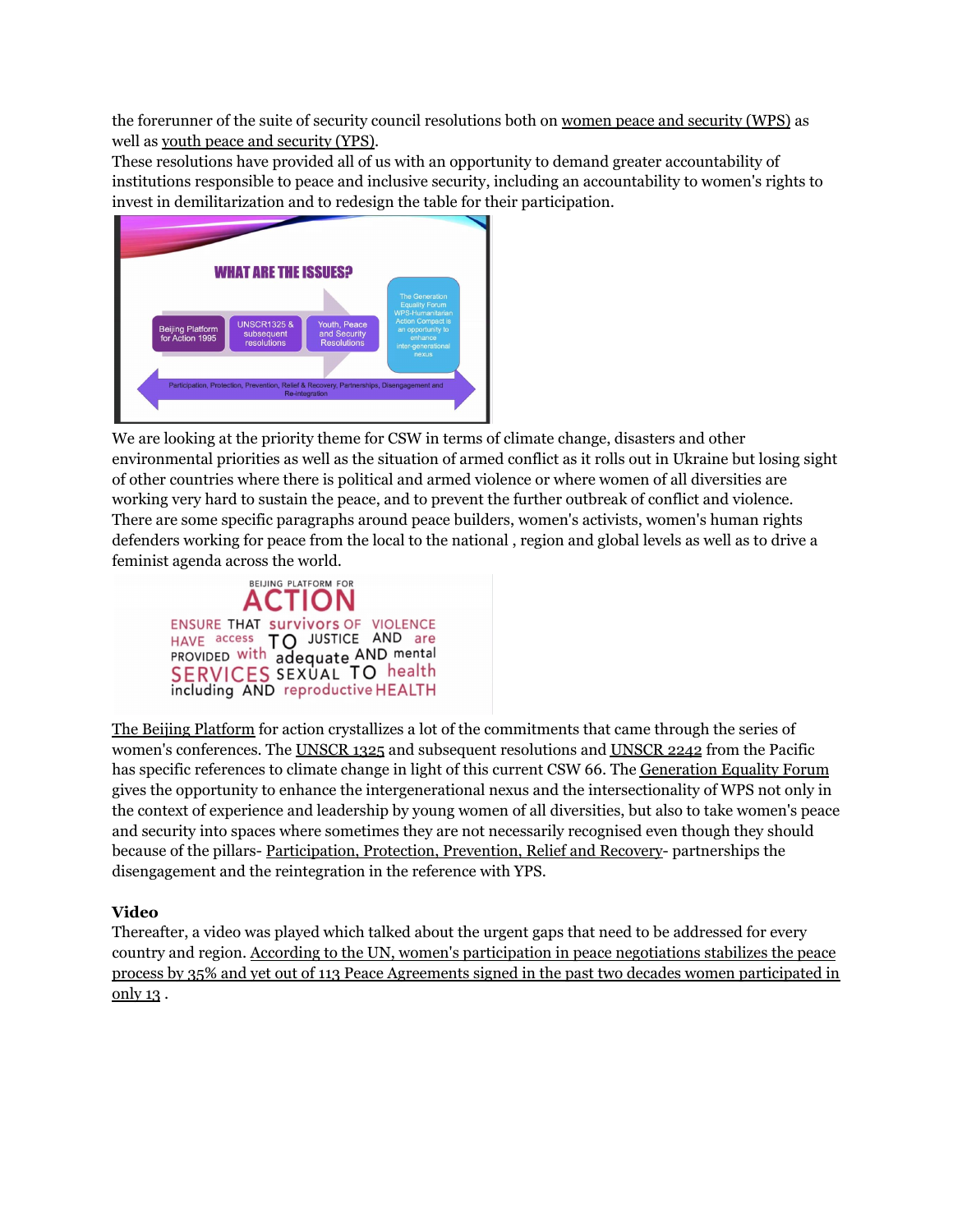the forerunner of the suite of security council resolutions both on women peace and security (WPS) as well as youth peace and security (YPS).

These resolutions have provided all of us with an opportunity to demand greater accountability of institutions responsible to peace and inclusive security, including an accountability to women's rights to invest in demilitarization and to redesign the table for their participation.



We are looking at the priority theme for CSW in terms of climate change, disasters and other environmental priorities as well as the situation of armed conflict as it rolls out in Ukraine but losing sight of other countries where there is political and armed violence or where women of all diversities are working very hard to sustain the peace, and to prevent the further outbreak of conflict and violence. There are some specific paragraphs around peace builders, women's activists, women's human rights defenders working for peace from the local to the national , region and global levels as well as to drive a feminist agenda across the world.



The Beijing Platform for action crystallizes a lot of the commitments that came through the series of women's conferences. The UNSCR 1325 and subsequent resolutions and UNSCR 2242 from the Pacific has specific references to climate change in light of this current CSW 66. The Generation Equality Forum gives the opportunity to enhance the intergenerational nexus and the intersectionality of WPS not only in the context of experience and leadership by young women of all diversities, but also to take women's peace and security into spaces where sometimes they are not necessarily recognised even though they should because of the pillars- Participation, Protection, Prevention, Relief and Recovery- partnerships the disengagement and the reintegration in the reference with YPS.

#### **Video**

Thereafter, a video was played which talked about the urgent gaps that need to be addressed for every country and region. According to the UN, women's participation in peace negotiations stabilizes the peace process by 35% and yet out of 113 Peace Agreements signed in the past two decades women participated in only 13 .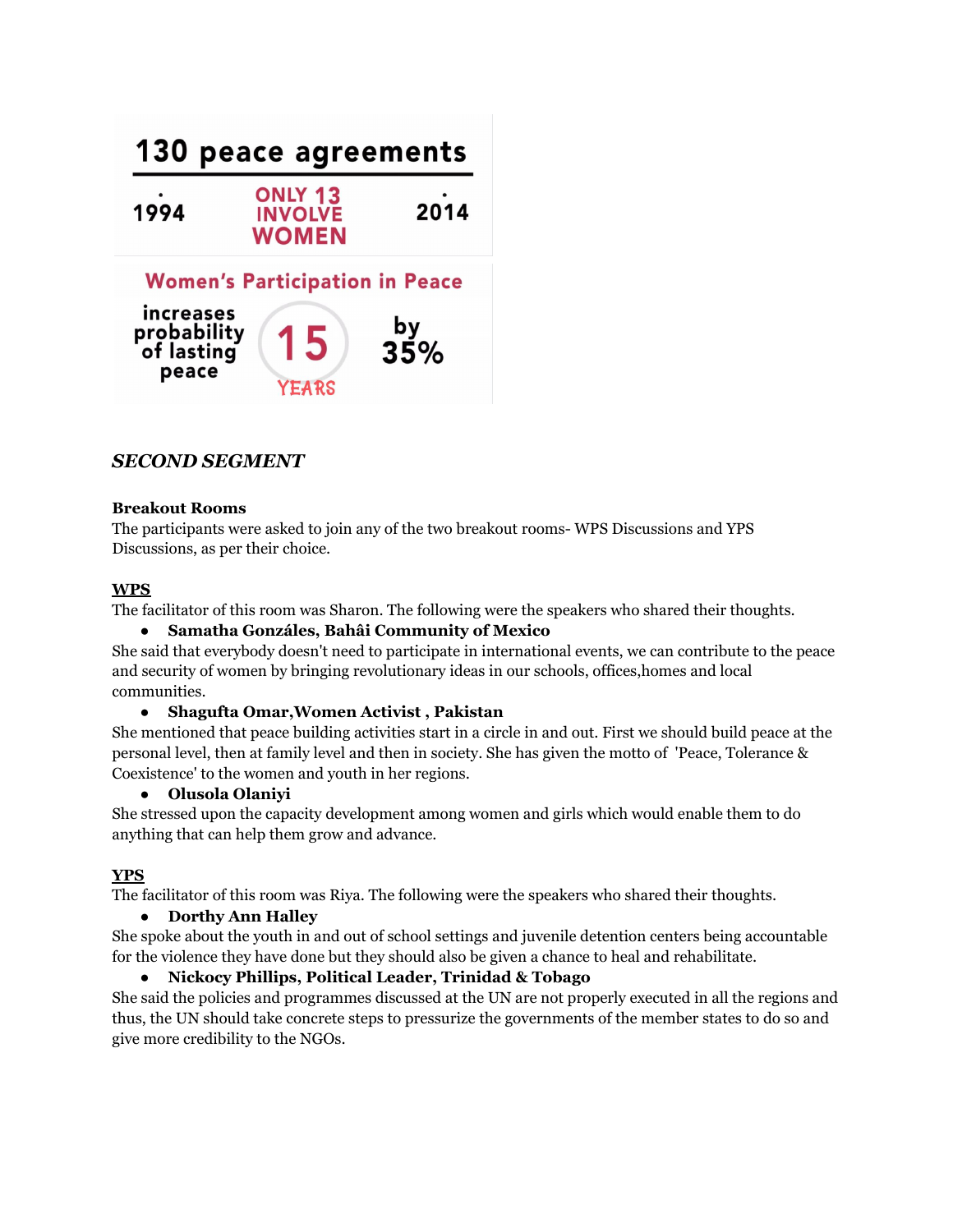

# *SECOND SEGMENT*

#### **Breakout Rooms**

The participants were asked to join any of the two breakout rooms- WPS Discussions and YPS Discussions, as per their choice.

#### **WPS**

The facilitator of this room was Sharon. The following were the speakers who shared their thoughts.

#### **● Samatha Gonzáles, Bahâi Community of Mexico**

She said that everybody doesn't need to participate in international events, we can contribute to the peace and security of women by bringing revolutionary ideas in our schools, offices,homes and local communities.

#### **● Shagufta Omar,Women Activist , Pakistan**

She mentioned that peace building activities start in a circle in and out. First we should build peace at the personal level, then at family level and then in society. She has given the motto of 'Peace, Tolerance & Coexistence' to the women and youth in her regions.

#### **● Olusola Olaniyi**

She stressed upon the capacity development among women and girls which would enable them to do anything that can help them grow and advance.

#### **YPS**

The facilitator of this room was Riya. The following were the speakers who shared their thoughts.

#### **● Dorthy Ann Halley**

She spoke about the youth in and out of school settings and juvenile detention centers being accountable for the violence they have done but they should also be given a chance to heal and rehabilitate.

#### **● Nickocy Phillips, Political Leader, Trinidad & Tobago**

She said the policies and programmes discussed at the UN are not properly executed in all the regions and thus, the UN should take concrete steps to pressurize the governments of the member states to do so and give more credibility to the NGOs.